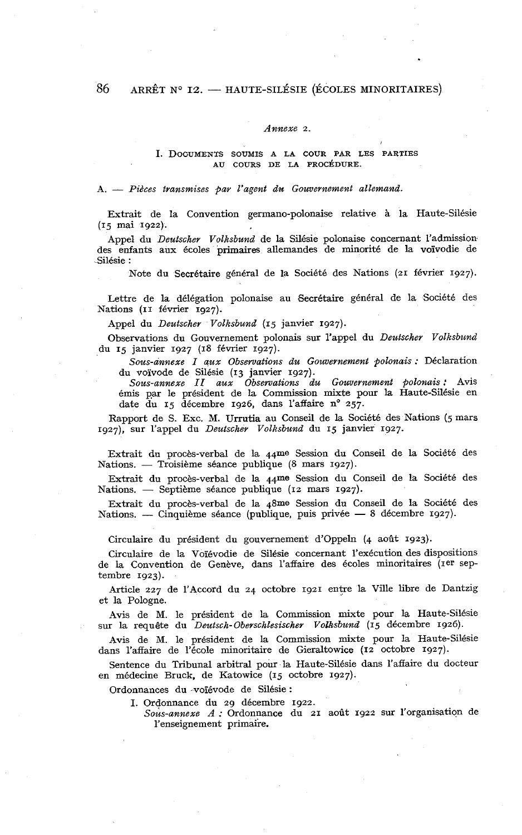#### *Annexe* 2.

#### **1.** DOCUMENTS SOUMIS **A** LA COUR PAR LES PARTIES AU COURS DE LA PROCÉDURE.

#### A. - *Pièces transmises par l'agent du Gouvernement allemand.*

Extrait de la Convention germano-polonaise relative **3,** la Haute-Silésie (15 mai 1922).

Appel du *Deutscher Volksbund* de la Silésie polonaise concernant l'admission des enfants aux écoles primaires allemandes de minorité de la voïvodie de Silésie :

Note du Secrétaire général de la Société des Nations (21 février 1927).

Lettre de la délégation polonaise au Secrétaire général de la Société des Nations (II février 1927).

-4ppel du *Deutscher Volksbund* (15 janvier 1927).

Observations du Gouvernement polonais sur l'appel du *Deutscher Volksbund*  du 15 janvier 1927 (18 février 1927).

*Sous-annexe I aux Observations du Gouuernement polonais* : Déclaration du voïvode de Silésie (13 janvier 1927).

*Sous-annexe II aux Observations du Gouvernement polonais:* Avis émis par le président de la Commission mixte pour la Haute-Silésie en date du 15 décembre 1926, dans l'affaire n° 257.

Rapport de S. Exc. M. **Urrutia** au Conseil de la Société des Nations (5 mars 1g27), sur l'appel du *Deutscher Volksbund* du 15 janvier 1927.

Extrait du procès-verbal de la 44me Session du Conseil de la Soci6té des Extrait du procès-verbal de la 44me Session du Constitutions. -- Troisième séance publique (8 mars 1927).

Extrait du procès-verbal de la 44me Session du Conseil de la Société des Nations. — Troisième séance publique (8 mars 1927).<br>Extrait du procès-verbal de la 44me Session du Co<br>Nations. — Septième séance publique (12 mars 1927).

Extrait du procès-verbal de la 48me Session du Conseil de la Société des Nations. - Cinquième séance (publique, puis privée - 8 décembre 1927).

Circulaire du président du gouvernement d'oppein (4 août 1923).

Circulaire de la Voiévodie de Silésie concernant l'exécution des dispositions de la Convention de Genève, dans l'affaire des écoles minoritaires (1er septembre 1923).

Article 227 de l'Accord du 24 octobre 1921 entre la Ville libre de Dantzig et la Pologne.

Avis de M. le président de la Commission mixte pour la Haute-Silésie sur la requête du *Deutsch-Oberschlesischer VoBsbund* (15 décembre 1926).

Avis de M. le président de la Commission mixte pour la Haute-Silésie dans l'affaire de l'école minoritaire de Gieraltowice (12 octobre 1927).

Sentence du Tribunal arbitral pour la Haute-Silésie dans l'affaire du docteur en médecine Bruck, de Katowice (15 octobre 1927).

Ordonnances du -voïévode de Silésie :

**1.** Ordonnance du 29 décembre 1922.

*Sous-annexe A* : Ordonnance du 21 août 1922 sur l'organisation de l'enseignement primaire.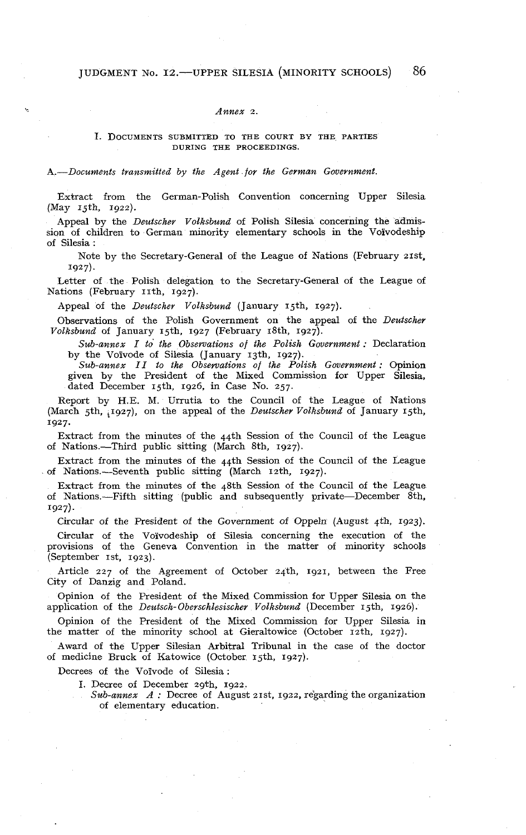#### *Annex* 2.

### **1.** DOCUMENTS SUBMITTED TO THE COURT BY THE PARTIES DURING THE PROCEEDINGS.

*A.-Documents transmitted by the Agent for the German Government.* 

Extract from the German-Polish Convention concerning Upper Silesia (May 15th, 1922).

Appeal by the *Deutscher Volksbund* of Polish Silesia concerning the admission of children to German minority elementary schools in the Voïvodeship of Silesia :

Note by the Secretary-General of the League of Nations (February 21st, 1927).

Letter of the Polish delegation to the Secretary-General of the League of Nations (February 11th, 1927).

Appeal of the *Deutscher Volksbund* (January 15th, 1927).

Observations of the Polish Government on the appeal of the *Deutscher Volksbund* of January 15th. 1927 (February 18th, 1927).

*Sub-annex I to the Observations of the Polish Government* : Declaration by the Voïvode of Silesia (January 13th. 1927).

*Sub-annex II to the Observations of the Polish Government* : Opinion given by the President of the Mixed Commission for Upper Silesia, dated December 15th, 1926, in Case No. 257.

Report by H.E. M. Urrutia to the Council of the League of Nations (March 5th, 1927), on the appeal of the *Deutscher Volksbund* of January 15th, 1927.

Extract from the minutes of the 44th Session of the Council of the League of Nations.-Third public sitting (March 8th, 1927).

Extract from the minutes of the 44th Session of the Council of the League of Nations.-Seventh public sitting (March 12th, 1927).

Extract from the minutes of the 48th Session of the Council of the League of Nations.-Fifth sitting (public and suhsequently private-December 8th, 1927).

Circular of the President of the Government of Oppeln (August 4th, 1923).

Circular of the Voïvodeship of Silesia concerning the execution of the provisions of the Geneva Convention in the matter of minority schools  $(September$   $1st$ ,  $1923)$ .

Article 227 of the Agreement of October 24th. 1921, between the Free City of Danzig and Poland.

Opinion of the President of the Mixed Commission for Upper Silesia on the application of the *Deutsch-Oberschlesischer Volksbund* (December 15th, 1926).

Opinion of the President of the Mixed Commission for Upper Silesia in the matter of the minority school at Gieraltowice (October  $r_2$ th, 1927).

Award of the Upper Silesian Arbitral Tribunal in the case of the doctor of medicine Bruck of Katowice (October 15th. 1927).

Decrees of the Voïvode of Silesia :

- **1.** Decree of December zgth, 1922.
- *Sub-annex A* : Decree of August 21st, 1922, regarding the organization of elementary education.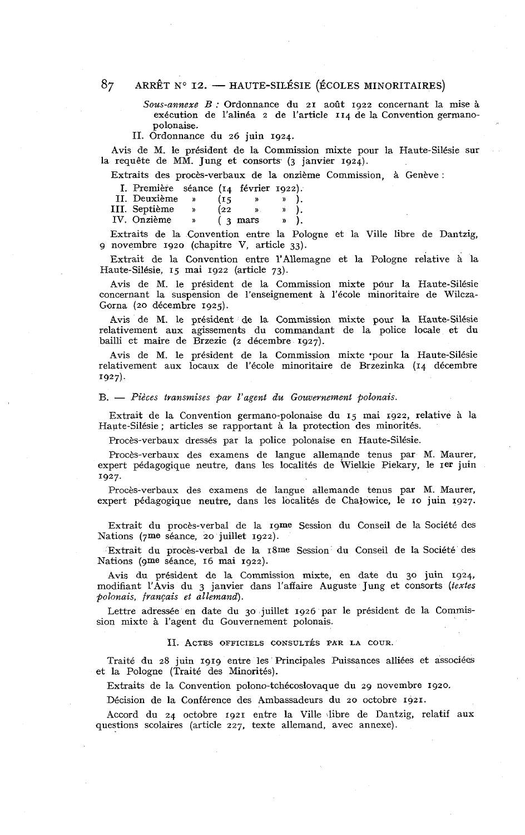# ARRÊT N° 12. - HAUTE-SILÉSIE (ÉCOLES MINORITAIRES)<br>Sous-annexe B : Ordonnance du 21 août 1922 concernant la mise à

exécution de l'alinéa 2 de l'article 114 de la Convention germanopolonaise.

II. Ordonnance du 26 juin 1924.

Avis de M. le président de la Commission mixte pour la Haute-Silésie sur la requête de MM. Jung et consorts (3 janvier 1924).

Extraits des procès-verbaux de la onzième Commission, à Genève :

| I. Première séance (14 février 1922). |               |      |                    |    |  |
|---------------------------------------|---------------|------|--------------------|----|--|
| II. Deuxième                          | $\mathbf{D}$  | (15  |                    |    |  |
| III. Septième                         | $\mathcal{Y}$ | (22) | D.                 | y) |  |
| IV. Onzième                           | y,            |      | $(3 \text{ mars})$ | )) |  |

Extraits de la Convention entre la Pologne et la Ville libre de Dantzig, g novembre 1920 (chapitre V, article 33).

Extrait de la Convention entre l'Allemagne et la Pologne relative à la Haute-Silésie, 15 mai 1922 (article 73).

Avis de M. le président de la Commission mixte pour la Haute-Silésie concernant la suspension de l'enseignement à l'école minoritaire de Wilcza-Gorna (20 décembre 1925).

Avis de M. le président de la Commission mixte pour la Haute-Silésie relativement aux agissements du commandant de la police locale et du bailli et maire de Brzezie (2 décembre 1927).

Avis de M. le président de la Commission mixte pour la Haute-Silésie relativement aux locaux de l'école minoritaire de Brzezinka (14 décembre 1927).

#### $B. -$  Pièces transmises par l'agent du Gouvernement polonais.

Extrait de la Convention germano-polonaise du 15 mai 1922, relative à la Hapte-Silésie ; articles se rapportant à la protection des minorités.

Procès-verbaux dressés par la police polonaise en Haute-Silésie.

Procès-verbaux des examens de langue allemande tenus par M. Maurer, expert pédagogique neutre, dans les localités de Wielkie Piekary, le Ier juin 1927.

Procès-verbaux des examens de langue allemande tenus par M. Maurer, expert pédagogique neutre, dans les localités de Chalowice, le 10 juin 1927.

Extrait du procès-verbal de la Igme Session du Conseil de la Société des Nations (7me séance, 20 juillet 1922).

Extrait du procès-verbal de la 18me Session du Conseil de la Société des Nations (gme séance, 16 mai 1922).

Avis du président de la Commission mixte, en date du 30 juin 1924, modifiant l'Avis du 3 janvier dans l'affaire Auguste Jung et consorts (textes polonais, français et allemand).

Lettre adressée en date du 30 juillet 1926 par le président de la Commission mixte à l'agent du Gouvernement polonais.

#### II. ACTES OFFICIELS CONSULTÉS PAR LA COUR.

Traité du 28 juin 1919 entre les Principales Puissances alliées et associées et la Pologne (Traité des Minorités).

Extraits de la Convention polono-tchécoslovaque du 29 novembre 1920.

Décision de la Conférence des Ambassadeurs du 20 octobre 1921.

Accord du 24 octobre 1921 entre la Ville libre de Dantzig, relatif aux questions scolaires (article 227, texte allemand, avec annexe).

87.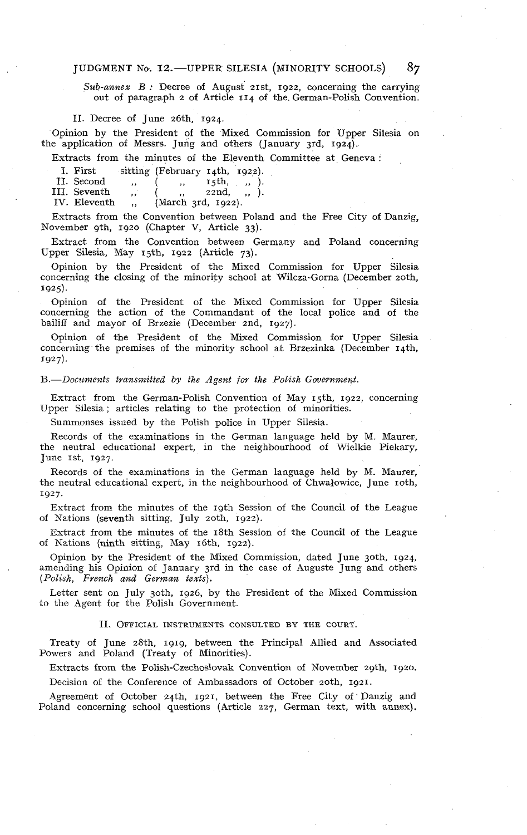JUDGMENT No. 12.—UPPER SILESIA (MINORITY SCHOOLS) 87<br>Sub-annex B: Decree of August 21st, 1922, concerning the carrying out of paragraph 2 of Article **r** 14 of the. German-Polish Convention.

II. Decree of June 26th, 1924.

Opinion by the President of the Mixed Commission for Upper Silesia on the application of Messrs. Jung and others (January 3rd, 1924).

Extracts from the minutes of the Eleventh Committee at Geneva :

| L. First     | sitting (February 14th, 1922). |  |                |  |  |
|--------------|--------------------------------|--|----------------|--|--|
| II. Second   | $\cdots$                       |  | ,, 15th, ,, ). |  |  |
| III. Seventh | $\cdots$                       |  | 22nd, , , .    |  |  |

IV. Eleventh ... (March 3rd, 1922).

Extracts from the Convention between Poland and the Free City of Danzig, November gth, 1920 (Chapter V, Article 33).

Extract from the Convention between Germany and Poland concerning Upper Silesia, May 15th, 1922 (Article 73).

Opinion by the President of the Mixed Commission for Upper Silesia concerning the closing of the minority school at Wilcza-Gorna (December 20th. 1925).

Opinion of the President of the Mixed Commission for Upper Silesia concerning the action of the Commandant of the local police and of the bailiff and mayor of Brzezie (December 2nd, 1927).

Opinion of the President of the Mixed Commission for Upper Silesia concerning the premises of the minority school at Rrzezinka (December 14th. 1927).

#### *B.-Docztnzents transnzitted by the Agent for the Polish Government.*

Extract from the German-Polish Convention of May 15th, 1922, concerning Upper Silesia ; articles relating to the protection of minorities.

Summonses issued by the Polish police in Upper Silesia.

Records of the examinations in the German language held by M. Maurer, the neutral educational expert, in the neighbourhood of Wielkie Piekary,  $June$   $15t$ ,  $1927$ .

Records of the examinations in the German language held by M. Maurer, the neutral educational expert, in the neighbourhood of Chwalowice, June roth, 1927.

Extract from the minutes of the 19th Session of the Council of the League of Nations (seventh sitting, July zoth, 1922).

Extract from the minutes of the 18th Session of the Council of the League of Nations (ninth sitting, May 16th, 1922).

Opinion by the President of the Mixed Commission, dated June 30th. 1924, , amending his Opinion of January 3rd in the case of Auguste Jung and others *(Polish, French and German texts).* 

Letter sent on July 3oth, 1926, by the President of the Mixed Commission to the Agent for the Polish Government.

#### II. OFFICIAL INSTRUMENTS CONSULTED BY THE COURT.

Treaty of June 28th, 1919, between the Principal Allied and Associated Powers and Poland (Treaty of Minorities).

Extracts from the Polish-Czechoslovak Convention of November zgth, 1920.

Decision of the Conference of Ambassadors of October zoth, 1921.

Agreement of October 24th, 1921, between the Free City of 'Danzig and Poland concerning school questions (Article 227, German text, with annex).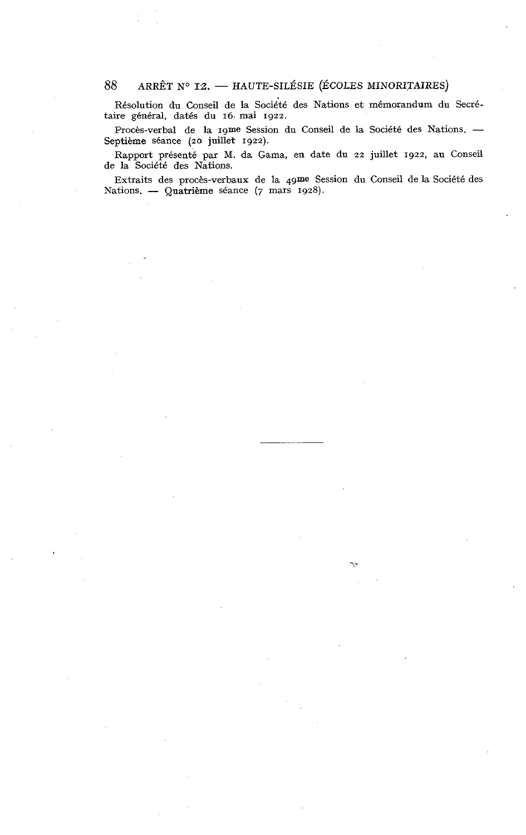#### ARRÊT N° I2. - HAUTE-SILÉSIE (ÉCOLES MINORITAIRES) 88

Résolution du Conseil de la Société des Nations et mémorandum du Secrétaire général, datés du 16. mai 1922.

Procès-verbal de la Igme Session du Conseil de la Société des Nations. -Septième séance (20 juillet 1922).

Rapport présenté par M. da Gama, en date du 22 juillet 1922, au Conseil de la Société des Nations.

Extraits des procès-verbaux de la 4gme Session du Conseil de la Société des Nations. - Quatrième séance (7 mars 1928).